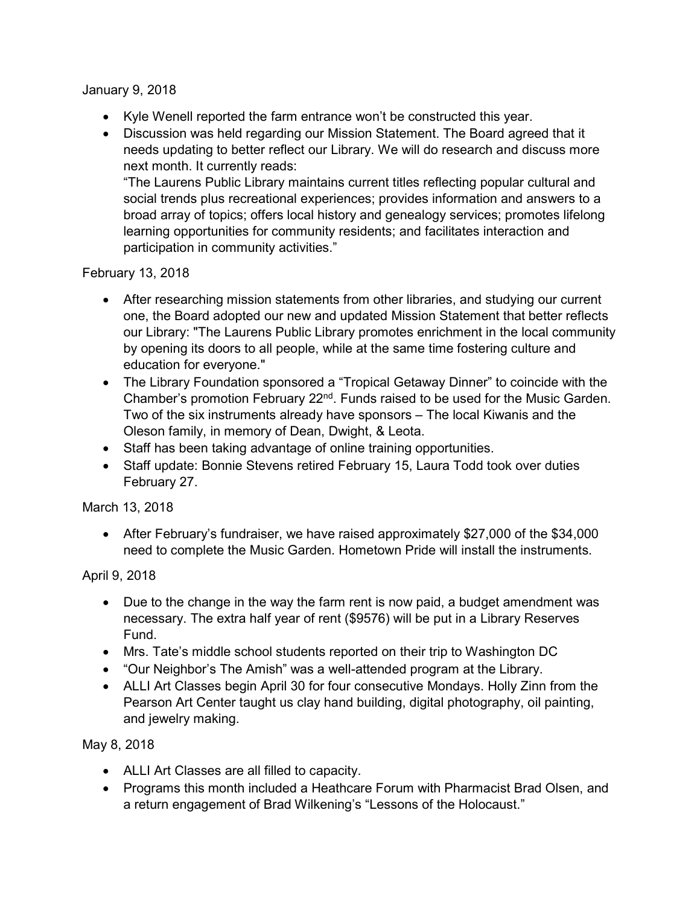January 9, 2018

- Kyle Wenell reported the farm entrance won't be constructed this year.
- Discussion was held regarding our Mission Statement. The Board agreed that it needs updating to better reflect our Library. We will do research and discuss more next month. It currently reads:

"The Laurens Public Library maintains current titles reflecting popular cultural and social trends plus recreational experiences; provides information and answers to a broad array of topics; offers local history and genealogy services; promotes lifelong learning opportunities for community residents; and facilitates interaction and participation in community activities."

February 13, 2018

- After researching mission statements from other libraries, and studying our current one, the Board adopted our new and updated Mission Statement that better reflects our Library: "The Laurens Public Library promotes enrichment in the local community by opening its doors to all people, while at the same time fostering culture and education for everyone."
- The Library Foundation sponsored a "Tropical Getaway Dinner" to coincide with the Chamber's promotion February 22<sup>nd</sup>. Funds raised to be used for the Music Garden. Two of the six instruments already have sponsors – The local Kiwanis and the Oleson family, in memory of Dean, Dwight, & Leota.
- Staff has been taking advantage of online training opportunities.
- Staff update: Bonnie Stevens retired February 15, Laura Todd took over duties February 27.

March 13, 2018

 After February's fundraiser, we have raised approximately \$27,000 of the \$34,000 need to complete the Music Garden. Hometown Pride will install the instruments.

April 9, 2018

- Due to the change in the way the farm rent is now paid, a budget amendment was necessary. The extra half year of rent (\$9576) will be put in a Library Reserves Fund.
- Mrs. Tate's middle school students reported on their trip to Washington DC
- "Our Neighbor's The Amish" was a well-attended program at the Library.
- ALLI Art Classes begin April 30 for four consecutive Mondays. Holly Zinn from the Pearson Art Center taught us clay hand building, digital photography, oil painting, and jewelry making.

May 8, 2018

- ALLI Art Classes are all filled to capacity.
- Programs this month included a Heathcare Forum with Pharmacist Brad Olsen, and a return engagement of Brad Wilkening's "Lessons of the Holocaust."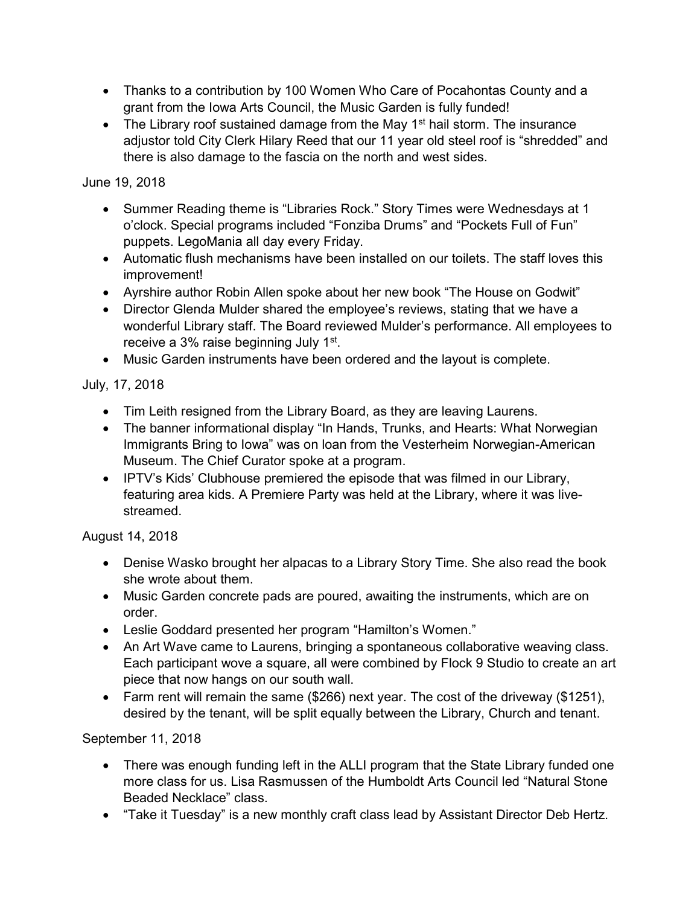- Thanks to a contribution by 100 Women Who Care of Pocahontas County and a grant from the Iowa Arts Council, the Music Garden is fully funded!
- $\bullet$  The Library roof sustained damage from the May 1<sup>st</sup> hail storm. The insurance adjustor told City Clerk Hilary Reed that our 11 year old steel roof is "shredded" and there is also damage to the fascia on the north and west sides.

## June 19, 2018

- Summer Reading theme is "Libraries Rock." Story Times were Wednesdays at 1 o'clock. Special programs included "Fonziba Drums" and "Pockets Full of Fun" puppets. LegoMania all day every Friday.
- Automatic flush mechanisms have been installed on our toilets. The staff loves this improvement!
- Ayrshire author Robin Allen spoke about her new book "The House on Godwit"
- Director Glenda Mulder shared the employee's reviews, stating that we have a wonderful Library staff. The Board reviewed Mulder's performance. All employees to receive a 3% raise beginning July 1st.
- Music Garden instruments have been ordered and the layout is complete.

## July, 17, 2018

- Tim Leith resigned from the Library Board, as they are leaving Laurens.
- The banner informational display "In Hands, Trunks, and Hearts: What Norwegian Immigrants Bring to Iowa" was on loan from the Vesterheim Norwegian-American Museum. The Chief Curator spoke at a program.
- IPTV's Kids' Clubhouse premiered the episode that was filmed in our Library, featuring area kids. A Premiere Party was held at the Library, where it was livestreamed.

## August 14, 2018

- Denise Wasko brought her alpacas to a Library Story Time. She also read the book she wrote about them.
- Music Garden concrete pads are poured, awaiting the instruments, which are on order.
- Leslie Goddard presented her program "Hamilton's Women."
- An Art Wave came to Laurens, bringing a spontaneous collaborative weaving class. Each participant wove a square, all were combined by Flock 9 Studio to create an art piece that now hangs on our south wall.
- Farm rent will remain the same (\$266) next year. The cost of the driveway (\$1251), desired by the tenant, will be split equally between the Library, Church and tenant.

September 11, 2018

- There was enough funding left in the ALLI program that the State Library funded one more class for us. Lisa Rasmussen of the Humboldt Arts Council led "Natural Stone Beaded Necklace" class.
- "Take it Tuesday" is a new monthly craft class lead by Assistant Director Deb Hertz.